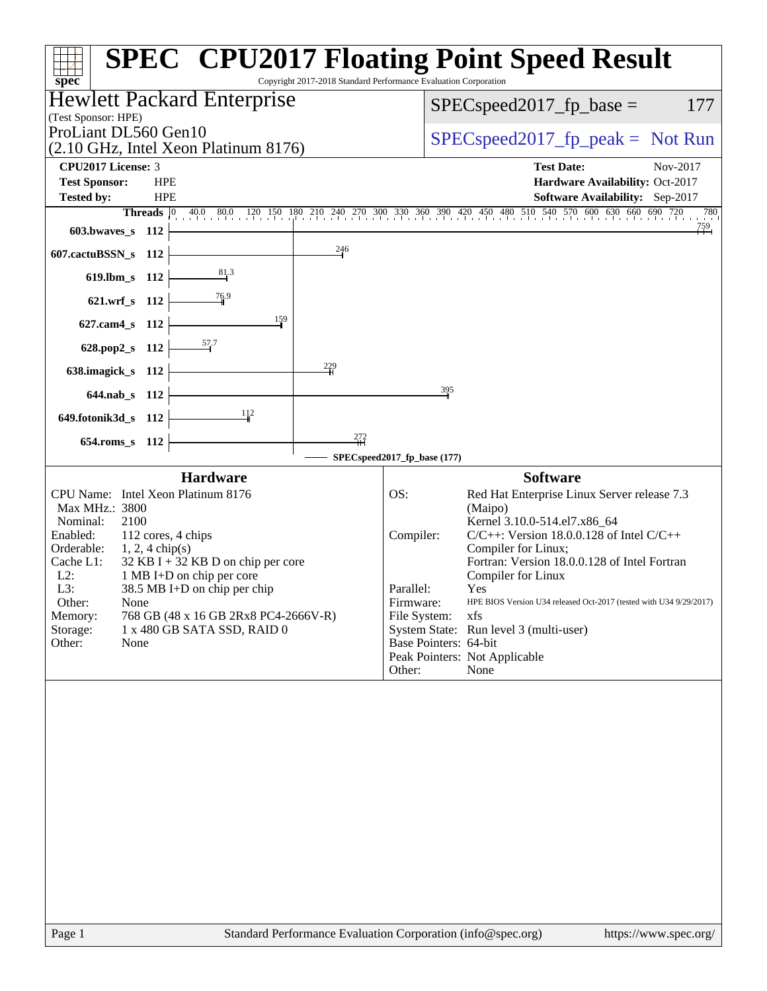| Copyright 2017-2018 Standard Performance Evaluation Corporation<br>spec <sup>®</sup>                                                                                                                                                                                                                                                                                                                                                  | <b>SPEC<sup>®</sup> CPU2017 Floating Point Speed Result</b>                                                                                                                                                                                                                                                                                                                                                                                                                                                                     |  |  |  |  |  |
|---------------------------------------------------------------------------------------------------------------------------------------------------------------------------------------------------------------------------------------------------------------------------------------------------------------------------------------------------------------------------------------------------------------------------------------|---------------------------------------------------------------------------------------------------------------------------------------------------------------------------------------------------------------------------------------------------------------------------------------------------------------------------------------------------------------------------------------------------------------------------------------------------------------------------------------------------------------------------------|--|--|--|--|--|
| <b>Hewlett Packard Enterprise</b><br>(Test Sponsor: HPE)                                                                                                                                                                                                                                                                                                                                                                              | 177<br>$SPEC speed2017_fp\_base =$                                                                                                                                                                                                                                                                                                                                                                                                                                                                                              |  |  |  |  |  |
| ProLiant DL560 Gen10<br>(2.10 GHz, Intel Xeon Platinum 8176)                                                                                                                                                                                                                                                                                                                                                                          | $SPEC speed2017rfp peak = Not Run$                                                                                                                                                                                                                                                                                                                                                                                                                                                                                              |  |  |  |  |  |
| <b>CPU2017 License: 3</b><br><b>Test Sponsor:</b><br><b>HPE</b><br><b>Tested by:</b><br><b>HPE</b>                                                                                                                                                                                                                                                                                                                                    | <b>Test Date:</b><br>Nov-2017<br>Hardware Availability: Oct-2017<br>Software Availability: Sep-2017<br>Threads 0 40.0 80.0 120 150 180 210 240 270 300 330 360 390 420 450 480 510 540 570 600 630 660 690 720<br>780                                                                                                                                                                                                                                                                                                           |  |  |  |  |  |
| 603.bwaves_s 112<br>$\frac{246}{5}$<br>607.cactuBSSN_s 112                                                                                                                                                                                                                                                                                                                                                                            |                                                                                                                                                                                                                                                                                                                                                                                                                                                                                                                                 |  |  |  |  |  |
| $\frac{81.3}{2}$<br>619.lbm_s 112<br>$\frac{76.9}{9}$<br>621.wrf_s 112                                                                                                                                                                                                                                                                                                                                                                |                                                                                                                                                                                                                                                                                                                                                                                                                                                                                                                                 |  |  |  |  |  |
| 159<br>627.cam4_s 112<br><u>57</u> .7<br>—<br>628.pop2_s 112                                                                                                                                                                                                                                                                                                                                                                          |                                                                                                                                                                                                                                                                                                                                                                                                                                                                                                                                 |  |  |  |  |  |
| $\frac{229}{1}$<br>638.imagick_s 112<br>644.nab s 112                                                                                                                                                                                                                                                                                                                                                                                 | 395                                                                                                                                                                                                                                                                                                                                                                                                                                                                                                                             |  |  |  |  |  |
| <u>112</u><br>649.fotonik3d_s 112<br>272<br>654.roms_s 112                                                                                                                                                                                                                                                                                                                                                                            |                                                                                                                                                                                                                                                                                                                                                                                                                                                                                                                                 |  |  |  |  |  |
|                                                                                                                                                                                                                                                                                                                                                                                                                                       | SPECspeed2017_fp_base (177)                                                                                                                                                                                                                                                                                                                                                                                                                                                                                                     |  |  |  |  |  |
| <b>Hardware</b><br>CPU Name: Intel Xeon Platinum 8176<br>Max MHz.: 3800<br>Nominal:<br>2100<br>Enabled:<br>112 cores, 4 chips<br>Orderable:<br>$1, 2, 4$ chip(s)<br>$32$ KB I + 32 KB D on chip per core<br>Cache L1:<br>1 MB I+D on chip per core<br>$L2$ :<br>L3:<br>38.5 MB I+D on chip per chip<br>Other:<br>None<br>Memory:<br>768 GB (48 x 16 GB 2Rx8 PC4-2666V-R)<br>Storage:<br>1 x 480 GB SATA SSD, RAID 0<br>Other:<br>None | <b>Software</b><br>OS:<br>Red Hat Enterprise Linux Server release 7.3<br>(Maipo)<br>Kernel 3.10.0-514.el7.x86 64<br>$C/C++$ : Version 18.0.0.128 of Intel $C/C++$<br>Compiler:<br>Compiler for Linux;<br>Fortran: Version 18.0.0.128 of Intel Fortran<br>Compiler for Linux<br>Parallel:<br>Yes<br>HPE BIOS Version U34 released Oct-2017 (tested with U34 9/29/2017)<br>Firmware:<br>File System:<br>xfs<br>System State: Run level 3 (multi-user)<br>Base Pointers: 64-bit<br>Peak Pointers: Not Applicable<br>Other:<br>None |  |  |  |  |  |
|                                                                                                                                                                                                                                                                                                                                                                                                                                       |                                                                                                                                                                                                                                                                                                                                                                                                                                                                                                                                 |  |  |  |  |  |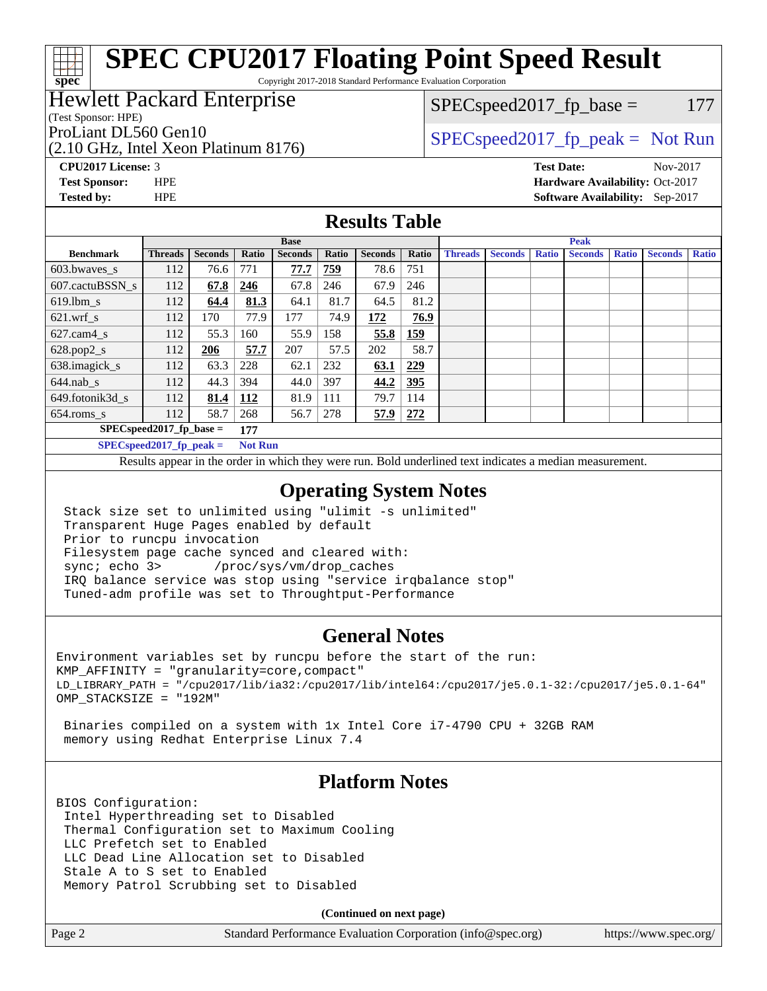# **[SPEC CPU2017 Floating Point Speed Result](http://www.spec.org/auto/cpu2017/Docs/result-fields.html#SPECCPU2017FloatingPointSpeedResult)**

Copyright 2017-2018 Standard Performance Evaluation Corporation

### Hewlett Packard Enterprise

(Test Sponsor: HPE)

(2.10 GHz, Intel Xeon Platinum 8176)

 $SPEC speed2017_fp\_base = 177$ 

ProLiant DL560 Gen10  $SPEC speed2017$  [p\_peak = Not Run

**[CPU2017 License:](http://www.spec.org/auto/cpu2017/Docs/result-fields.html#CPU2017License)** 3 **[Test Date:](http://www.spec.org/auto/cpu2017/Docs/result-fields.html#TestDate)** Nov-2017

**[Test Sponsor:](http://www.spec.org/auto/cpu2017/Docs/result-fields.html#TestSponsor)** HPE **[Hardware Availability:](http://www.spec.org/auto/cpu2017/Docs/result-fields.html#HardwareAvailability)** Oct-2017 **[Tested by:](http://www.spec.org/auto/cpu2017/Docs/result-fields.html#Testedby)** HPE **[Software Availability:](http://www.spec.org/auto/cpu2017/Docs/result-fields.html#SoftwareAvailability)** Sep-2017

#### **[Results Table](http://www.spec.org/auto/cpu2017/Docs/result-fields.html#ResultsTable)**

|                            | <b>Base</b>    |                |                |                |            |                |       | <b>Peak</b>    |                |              |                |              |                |              |
|----------------------------|----------------|----------------|----------------|----------------|------------|----------------|-------|----------------|----------------|--------------|----------------|--------------|----------------|--------------|
| <b>Benchmark</b>           | <b>Threads</b> | <b>Seconds</b> | Ratio          | <b>Seconds</b> | Ratio      | <b>Seconds</b> | Ratio | <b>Threads</b> | <b>Seconds</b> | <b>Ratio</b> | <b>Seconds</b> | <b>Ratio</b> | <b>Seconds</b> | <b>Ratio</b> |
| 603.bwayes s               | 112            | 76.6           | 771            | 77.7           | <u>759</u> | 78.6           | 751   |                |                |              |                |              |                |              |
| 607.cactuBSSN s            | 112            | 67.8           | 246            | 67.8           | 246        | 67.9           | 246   |                |                |              |                |              |                |              |
| $619.$ lbm s               | 112            | 64.4           | 81.3           | 64.1           | 81.7       | 64.5           | 81.2  |                |                |              |                |              |                |              |
| $621.wrf$ s                | 112            | 170            | 77.9           | 177            | 74.9       | 172            | 76.9  |                |                |              |                |              |                |              |
| $627$ .cam $4 \text{ s}$   | 112            | 55.3           | 160            | 55.9           | 158        | 55.8           | 159   |                |                |              |                |              |                |              |
| $628.pop2_s$               | 112            | 206            | 57.7           | 207            | 57.5       | 202            | 58.7  |                |                |              |                |              |                |              |
| 638.imagick_s              | 112            | 63.3           | 228            | 62.1           | 232        | 63.1           | 229   |                |                |              |                |              |                |              |
| $644$ .nab s               | 112            | 44.3           | 394            | 44.0           | 397        | 44.2           | 395   |                |                |              |                |              |                |              |
| 649.fotonik3d s            | 112            | 81.4           | 112            | 81.9           | 111        | 79.7           | 114   |                |                |              |                |              |                |              |
| $654$ .roms s              | 112            | 58.7           | 268            | 56.7           | 278        | 57.9           | 272   |                |                |              |                |              |                |              |
| $SPEC speed2017$ fp base = | 177            |                |                |                |            |                |       |                |                |              |                |              |                |              |
| $SPECspeed2017$ fp peak =  |                |                | <b>Not Run</b> |                |            |                |       |                |                |              |                |              |                |              |

Results appear in the [order in which they were run.](http://www.spec.org/auto/cpu2017/Docs/result-fields.html#RunOrder) Bold underlined text [indicates a median measurement](http://www.spec.org/auto/cpu2017/Docs/result-fields.html#Median).

#### **[Operating System Notes](http://www.spec.org/auto/cpu2017/Docs/result-fields.html#OperatingSystemNotes)**

 Stack size set to unlimited using "ulimit -s unlimited" Transparent Huge Pages enabled by default Prior to runcpu invocation Filesystem page cache synced and cleared with: sync; echo 3> /proc/sys/vm/drop\_caches IRQ balance service was stop using "service irqbalance stop" Tuned-adm profile was set to Throughtput-Performance

### **[General Notes](http://www.spec.org/auto/cpu2017/Docs/result-fields.html#GeneralNotes)**

Environment variables set by runcpu before the start of the run: KMP\_AFFINITY = "granularity=core,compact" LD\_LIBRARY\_PATH = "/cpu2017/lib/ia32:/cpu2017/lib/intel64:/cpu2017/je5.0.1-32:/cpu2017/je5.0.1-64" OMP\_STACKSIZE = "192M"

 Binaries compiled on a system with 1x Intel Core i7-4790 CPU + 32GB RAM memory using Redhat Enterprise Linux 7.4

### **[Platform Notes](http://www.spec.org/auto/cpu2017/Docs/result-fields.html#PlatformNotes)**

BIOS Configuration: Intel Hyperthreading set to Disabled Thermal Configuration set to Maximum Cooling LLC Prefetch set to Enabled LLC Dead Line Allocation set to Disabled Stale A to S set to Enabled Memory Patrol Scrubbing set to Disabled

**(Continued on next page)**

Page 2 Standard Performance Evaluation Corporation [\(info@spec.org\)](mailto:info@spec.org) <https://www.spec.org/>

**[spec](http://www.spec.org/)**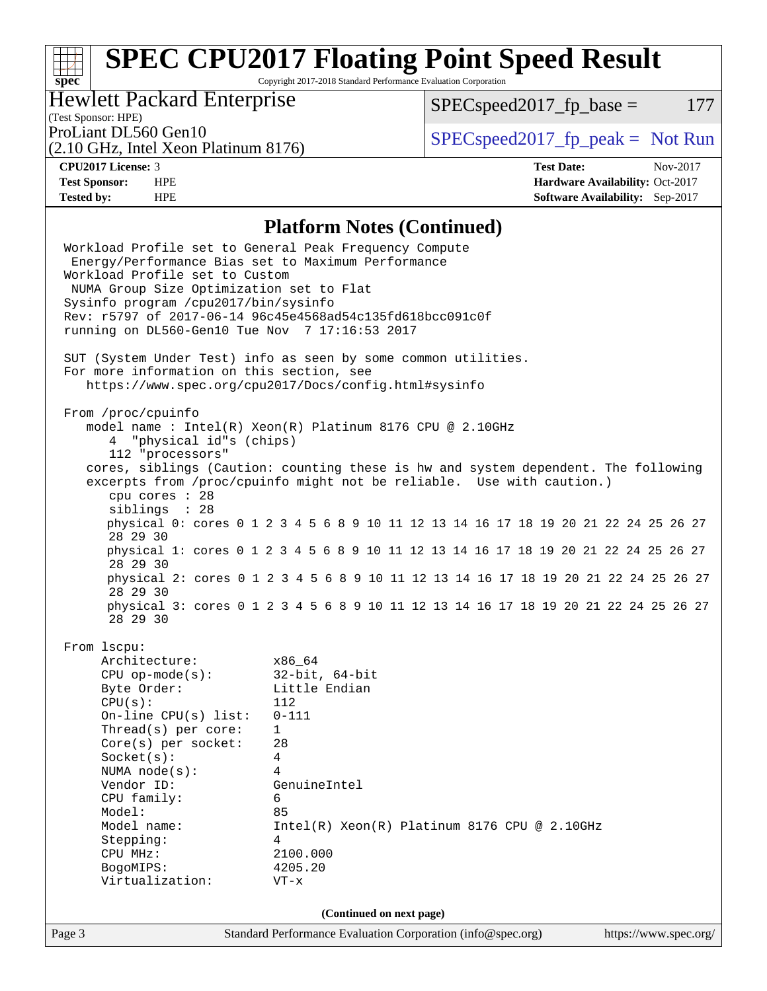# **[SPEC CPU2017 Floating Point Speed Result](http://www.spec.org/auto/cpu2017/Docs/result-fields.html#SPECCPU2017FloatingPointSpeedResult)**

Copyright 2017-2018 Standard Performance Evaluation Corporation

### Hewlett Packard Enterprise

 $SPECspeed2017_fp\_base = 177$ 

(Test Sponsor: HPE)

(2.10 GHz, Intel Xeon Platinum 8176)

ProLiant DL560 Gen10<br>  $\begin{array}{r} \text{SPEC speed2017\_fp\_peak = Not Run} \\ \text{SPEC speed2017\_fp\_peak = Not Run} \end{array}$ 

**[spec](http://www.spec.org/)**

**[CPU2017 License:](http://www.spec.org/auto/cpu2017/Docs/result-fields.html#CPU2017License)** 3 **[Test Date:](http://www.spec.org/auto/cpu2017/Docs/result-fields.html#TestDate)** Nov-2017 **[Test Sponsor:](http://www.spec.org/auto/cpu2017/Docs/result-fields.html#TestSponsor)** HPE **[Hardware Availability:](http://www.spec.org/auto/cpu2017/Docs/result-fields.html#HardwareAvailability)** Oct-2017 **[Tested by:](http://www.spec.org/auto/cpu2017/Docs/result-fields.html#Testedby)** HPE **[Software Availability:](http://www.spec.org/auto/cpu2017/Docs/result-fields.html#SoftwareAvailability)** Sep-2017

#### **[Platform Notes \(Continued\)](http://www.spec.org/auto/cpu2017/Docs/result-fields.html#PlatformNotes)**

| Workload Profile set to General Peak Frequency Compute<br>Energy/Performance Bias set to Maximum Performance<br>Workload Profile set to Custom<br>NUMA Group Size Optimization set to Flat<br>Sysinfo program /cpu2017/bin/sysinfo<br>Rev: r5797 of 2017-06-14 96c45e4568ad54c135fd618bcc091c0f<br>running on DL560-Gen10 Tue Nov 7 17:16:53 2017 |                                                                                                                                                                                                                              |                       |  |  |  |  |  |  |  |  |
|---------------------------------------------------------------------------------------------------------------------------------------------------------------------------------------------------------------------------------------------------------------------------------------------------------------------------------------------------|------------------------------------------------------------------------------------------------------------------------------------------------------------------------------------------------------------------------------|-----------------------|--|--|--|--|--|--|--|--|
|                                                                                                                                                                                                                                                                                                                                                   | SUT (System Under Test) info as seen by some common utilities.<br>For more information on this section, see<br>https://www.spec.org/cpu2017/Docs/config.html#sysinfo                                                         |                       |  |  |  |  |  |  |  |  |
| From /proc/cpuinfo<br>4 "physical id"s (chips)<br>112 "processors"<br>cpu cores : 28                                                                                                                                                                                                                                                              | model name: $Intel(R)$ Xeon $(R)$ Platinum 8176 CPU @ 2.10GHz<br>cores, siblings (Caution: counting these is hw and system dependent. The following<br>excerpts from /proc/cpuinfo might not be reliable. Use with caution.) |                       |  |  |  |  |  |  |  |  |
| siblings : 28                                                                                                                                                                                                                                                                                                                                     | physical 0: cores 0 1 2 3 4 5 6 8 9 10 11 12 13 14 16 17 18 19 20 21 22 24 25 26 27                                                                                                                                          |                       |  |  |  |  |  |  |  |  |
| 28 29 30                                                                                                                                                                                                                                                                                                                                          |                                                                                                                                                                                                                              |                       |  |  |  |  |  |  |  |  |
| 28 29 30                                                                                                                                                                                                                                                                                                                                          | physical 1: cores 0 1 2 3 4 5 6 8 9 10 11 12 13 14 16 17 18 19 20 21 22 24 25 26 27                                                                                                                                          |                       |  |  |  |  |  |  |  |  |
| 28 29 30                                                                                                                                                                                                                                                                                                                                          | physical 2: cores 0 1 2 3 4 5 6 8 9 10 11 12 13 14 16 17 18 19 20 21 22 24 25 26 27                                                                                                                                          |                       |  |  |  |  |  |  |  |  |
| 28 29 30                                                                                                                                                                                                                                                                                                                                          | physical 3: cores 0 1 2 3 4 5 6 8 9 10 11 12 13 14 16 17 18 19 20 21 22 24 25 26 27                                                                                                                                          |                       |  |  |  |  |  |  |  |  |
| From 1scpu:<br>Architecture: x86_64<br>CPU op-mode(s): 32-bit, 64-bit<br>Byte Order: Little Endian<br>CPU(s):<br>On-line CPU(s) list: $0-111$<br>Thread(s) per core:<br>$Core(s)$ per socket:<br>Socket(s):<br>NUMA $node(s):$<br>Vendor ID:<br>CPU family:<br>Model:<br>Model name:<br>Stepping:<br>CPU MHz:<br>BogoMIPS:<br>Virtualization:     | 112<br>$\mathbf{1}$<br>28<br>4<br>4<br>GenuineIntel<br>6<br>85<br>$Intel(R) Xeon(R) Platinum 8176 CPU @ 2.10GHz$<br>4<br>2100.000<br>4205.20<br>$VT - x$                                                                     |                       |  |  |  |  |  |  |  |  |
| (Continued on next page)                                                                                                                                                                                                                                                                                                                          |                                                                                                                                                                                                                              |                       |  |  |  |  |  |  |  |  |
| Page 3                                                                                                                                                                                                                                                                                                                                            | Standard Performance Evaluation Corporation (info@spec.org)                                                                                                                                                                  | https://www.spec.org/ |  |  |  |  |  |  |  |  |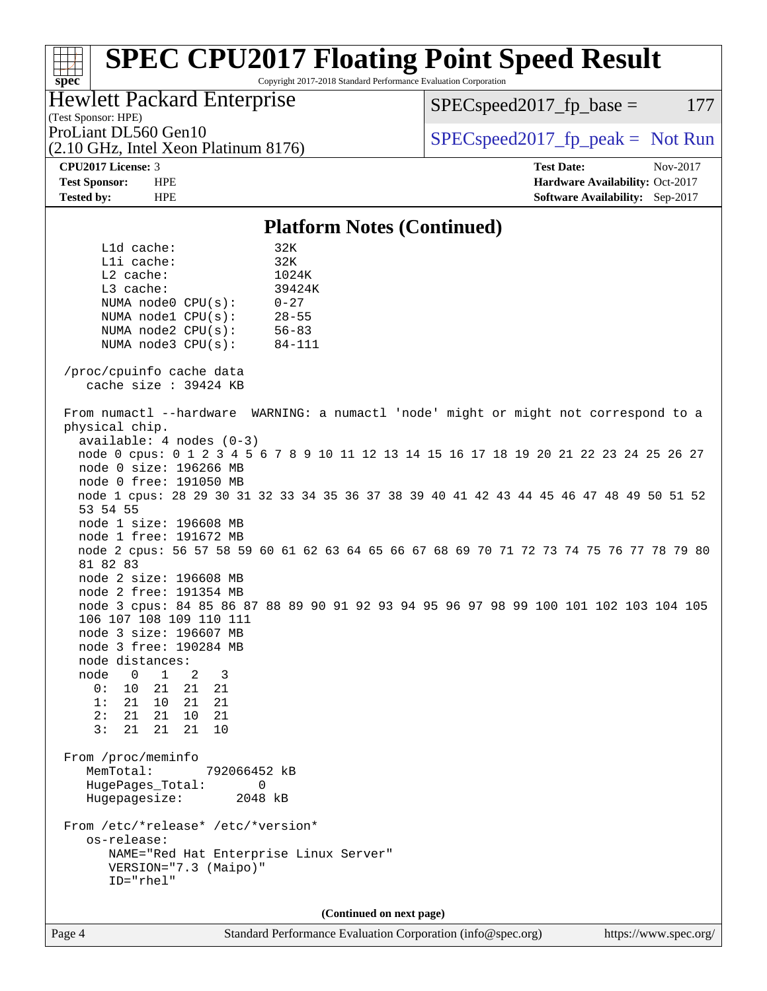#### **[spec](http://www.spec.org/) [SPEC CPU2017 Floating Point Speed Result](http://www.spec.org/auto/cpu2017/Docs/result-fields.html#SPECCPU2017FloatingPointSpeedResult)** Copyright 2017-2018 Standard Performance Evaluation Corporation (Test Sponsor: HPE) Hewlett Packard Enterprise (2.10 GHz, Intel Xeon Platinum 8176) ProLiant DL560 Gen10  $SPEC speed2017$  fp\_peak = Not Run  $SPEC speed2017<sub>fp</sub> base = 177$ **[CPU2017 License:](http://www.spec.org/auto/cpu2017/Docs/result-fields.html#CPU2017License)** 3 **[Test Date:](http://www.spec.org/auto/cpu2017/Docs/result-fields.html#TestDate)** Nov-2017 **[Test Sponsor:](http://www.spec.org/auto/cpu2017/Docs/result-fields.html#TestSponsor)** HPE **[Hardware Availability:](http://www.spec.org/auto/cpu2017/Docs/result-fields.html#HardwareAvailability)** Oct-2017 **[Tested by:](http://www.spec.org/auto/cpu2017/Docs/result-fields.html#Testedby)** HPE **[Software Availability:](http://www.spec.org/auto/cpu2017/Docs/result-fields.html#SoftwareAvailability)** Sep-2017 **[Platform Notes \(Continued\)](http://www.spec.org/auto/cpu2017/Docs/result-fields.html#PlatformNotes)** L1d cache: 32K L1i cache: 32K L2 cache: 1024K L3 cache: 39424K NUMA node0 CPU(s): 0-27 NUMA node1 CPU(s): 28-55 NUMA node2 CPU(s): 56-83 NUMA node3 CPU(s): 84-111 /proc/cpuinfo cache data cache size : 39424 KB From numactl --hardware WARNING: a numactl 'node' might or might not correspond to a physical chip. available: 4 nodes (0-3) node 0 cpus: 0 1 2 3 4 5 6 7 8 9 10 11 12 13 14 15 16 17 18 19 20 21 22 23 24 25 26 27 node 0 size: 196266 MB node 0 free: 191050 MB node 1 cpus: 28 29 30 31 32 33 34 35 36 37 38 39 40 41 42 43 44 45 46 47 48 49 50 51 52 53 54 55 node 1 size: 196608 MB node 1 free: 191672 MB node 2 cpus: 56 57 58 59 60 61 62 63 64 65 66 67 68 69 70 71 72 73 74 75 76 77 78 79 80 81 82 83 node 2 size: 196608 MB node 2 free: 191354 MB node 3 cpus: 84 85 86 87 88 89 90 91 92 93 94 95 96 97 98 99 100 101 102 103 104 105 106 107 108 109 110 111 node 3 size: 196607 MB node 3 free: 190284 MB node distances: node 0 1 2 3 0: 10 21 21 21 1: 21 10 21 21 2: 21 21 10 21 3: 21 21 21 10 From /proc/meminfo MemTotal: 792066452 kB HugePages\_Total: 0 Hugepagesize: 2048 kB From /etc/\*release\* /etc/\*version\* os-release: NAME="Red Hat Enterprise Linux Server" VERSION="7.3 (Maipo)" ID="rhel" **(Continued on next page)**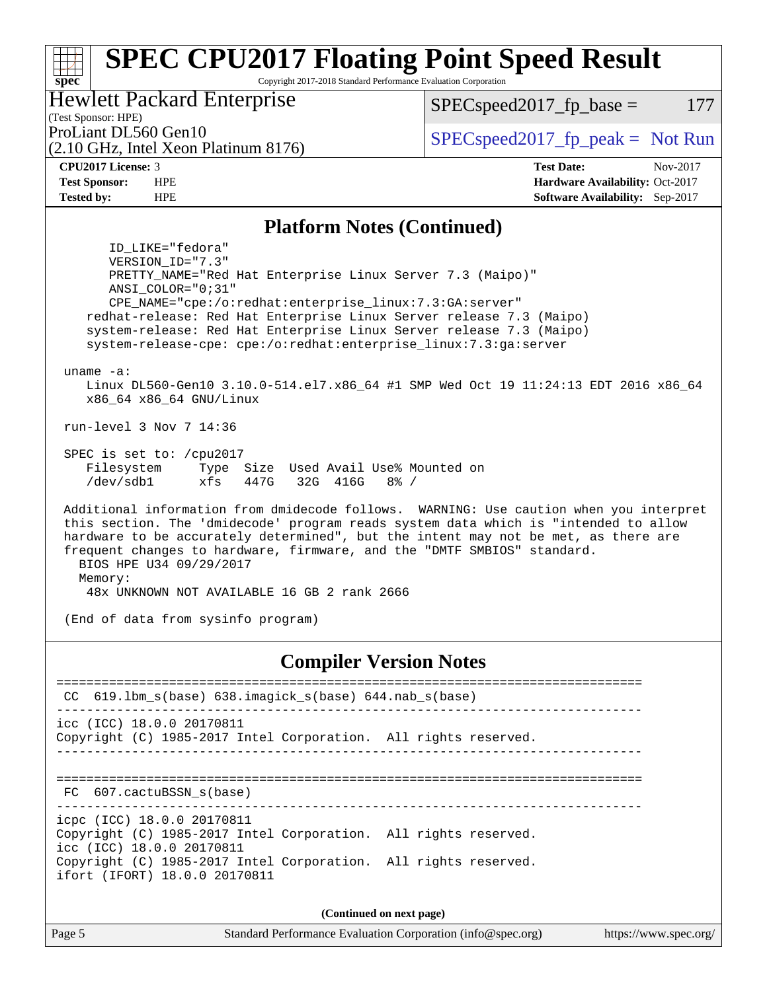#### **[spec](http://www.spec.org/) [SPEC CPU2017 Floating Point Speed Result](http://www.spec.org/auto/cpu2017/Docs/result-fields.html#SPECCPU2017FloatingPointSpeedResult)** Copyright 2017-2018 Standard Performance Evaluation Corporation (Test Sponsor: HPE) Hewlett Packard Enterprise (2.10 GHz, Intel Xeon Platinum 8176) ProLiant DL560 Gen10  $SPEC speed2017$  fp\_peak = Not Run  $SPEC speed2017_fp\_base = 177$ **[CPU2017 License:](http://www.spec.org/auto/cpu2017/Docs/result-fields.html#CPU2017License)** 3 **[Test Date:](http://www.spec.org/auto/cpu2017/Docs/result-fields.html#TestDate)** Nov-2017 **[Test Sponsor:](http://www.spec.org/auto/cpu2017/Docs/result-fields.html#TestSponsor)** HPE **[Hardware Availability:](http://www.spec.org/auto/cpu2017/Docs/result-fields.html#HardwareAvailability)** Oct-2017 **[Tested by:](http://www.spec.org/auto/cpu2017/Docs/result-fields.html#Testedby)** HPE **[Software Availability:](http://www.spec.org/auto/cpu2017/Docs/result-fields.html#SoftwareAvailability)** Sep-2017 **[Platform Notes \(Continued\)](http://www.spec.org/auto/cpu2017/Docs/result-fields.html#PlatformNotes)** ID\_LIKE="fedora" VERSION\_ID="7.3" PRETTY\_NAME="Red Hat Enterprise Linux Server 7.3 (Maipo)" ANSI\_COLOR="0;31" CPE\_NAME="cpe:/o:redhat:enterprise\_linux:7.3:GA:server" redhat-release: Red Hat Enterprise Linux Server release 7.3 (Maipo) system-release: Red Hat Enterprise Linux Server release 7.3 (Maipo) system-release-cpe: cpe:/o:redhat:enterprise\_linux:7.3:ga:server uname -a: Linux DL560-Gen10 3.10.0-514.el7.x86\_64 #1 SMP Wed Oct 19 11:24:13 EDT 2016 x86\_64 x86\_64 x86\_64 GNU/Linux run-level 3 Nov 7 14:36 SPEC is set to: /cpu2017 Filesystem Type Size Used Avail Use% Mounted on /dev/sdb1 xfs 447G 32G 416G 8% / Additional information from dmidecode follows. WARNING: Use caution when you interpret this section. The 'dmidecode' program reads system data which is "intended to allow hardware to be accurately determined", but the intent may not be met, as there are frequent changes to hardware, firmware, and the "DMTF SMBIOS" standard. BIOS HPE U34 09/29/2017 Memory: 48x UNKNOWN NOT AVAILABLE 16 GB 2 rank 2666 (End of data from sysinfo program) **[Compiler Version Notes](http://www.spec.org/auto/cpu2017/Docs/result-fields.html#CompilerVersionNotes)** ============================================================================== CC 619.lbm\_s(base) 638.imagick\_s(base) 644.nab\_s(base) ----------------------------------------------------------------------------- icc (ICC) 18.0.0 20170811 Copyright (C) 1985-2017 Intel Corporation. All rights reserved. ------------------------------------------------------------------------------ ============================================================================== FC 607.cactuBSSN s(base) ----------------------------------------------------------------------------- icpc (ICC) 18.0.0 20170811 Copyright (C) 1985-2017 Intel Corporation. All rights reserved. icc (ICC) 18.0.0 20170811 Copyright (C) 1985-2017 Intel Corporation. All rights reserved. ifort (IFORT) 18.0.0 20170811

**(Continued on next page)**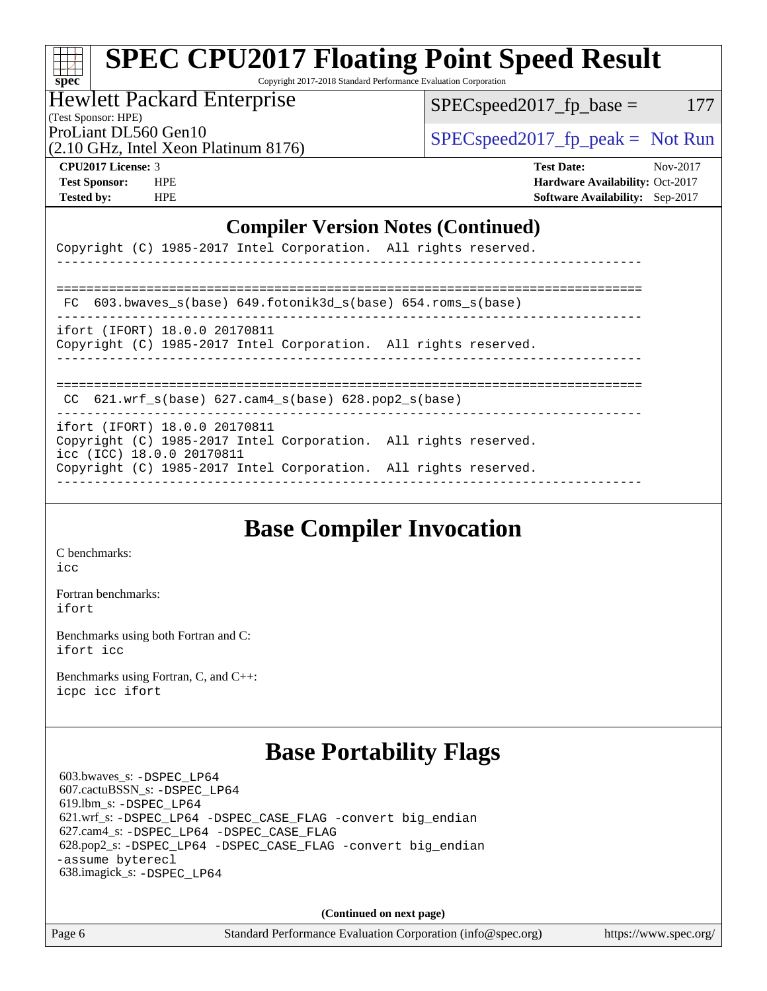|          | SPEC CPU2017 Floating Point Speed Result                        |
|----------|-----------------------------------------------------------------|
|          |                                                                 |
| $spec^*$ | Copyright 2017-2018 Standard Performance Evaluation Corporation |

Copyright 2017-2018 Standard Performance Evaluation Corporation

#### Hewlett Packard Enterprise

 $SPEC speed2017_fp\_base = 177$ 

(Test Sponsor: HPE)

(2.10 GHz, Intel Xeon Platinum 8176)

ProLiant DL560 Gen10<br>  $\begin{array}{r} \text{SPEC speed2017\_fp\_peak = Not Run} \\ \text{SPEC speed2017\_fp\_peak = Not Run} \end{array}$ 

**[CPU2017 License:](http://www.spec.org/auto/cpu2017/Docs/result-fields.html#CPU2017License)** 3 **[Test Date:](http://www.spec.org/auto/cpu2017/Docs/result-fields.html#TestDate)** Nov-2017 **[Test Sponsor:](http://www.spec.org/auto/cpu2017/Docs/result-fields.html#TestSponsor)** HPE **[Hardware Availability:](http://www.spec.org/auto/cpu2017/Docs/result-fields.html#HardwareAvailability)** Oct-2017 **[Tested by:](http://www.spec.org/auto/cpu2017/Docs/result-fields.html#Testedby)** HPE **[Software Availability:](http://www.spec.org/auto/cpu2017/Docs/result-fields.html#SoftwareAvailability)** Sep-2017

#### **[Compiler Version Notes \(Continued\)](http://www.spec.org/auto/cpu2017/Docs/result-fields.html#CompilerVersionNotes)**

| Copyright (C) 1985-2017 Intel Corporation. All rights reserved.                                                                                                                                  |
|--------------------------------------------------------------------------------------------------------------------------------------------------------------------------------------------------|
|                                                                                                                                                                                                  |
| $FC 603.bwaves_s(base) 649.fotonik3d_s(base) 654.roms_s(base)$                                                                                                                                   |
| ifort (IFORT) 18.0.0 20170811<br>Copyright (C) 1985-2017 Intel Corporation. All rights reserved.                                                                                                 |
| CC $621.wrf$ s(base) $627.cam4$ s(base) $628.pop2$ s(base)                                                                                                                                       |
| ifort (IFORT) 18.0.0 20170811<br>Copyright (C) 1985-2017 Intel Corporation. All rights reserved.<br>icc (ICC) 18.0.0 20170811<br>Copyright (C) 1985-2017 Intel Corporation. All rights reserved. |

### **[Base Compiler Invocation](http://www.spec.org/auto/cpu2017/Docs/result-fields.html#BaseCompilerInvocation)**

[C benchmarks](http://www.spec.org/auto/cpu2017/Docs/result-fields.html#Cbenchmarks): [icc](http://www.spec.org/cpu2017/results/res2017q4/cpu2017-20171128-01313.flags.html#user_CCbase_intel_icc_18.0_66fc1ee009f7361af1fbd72ca7dcefbb700085f36577c54f309893dd4ec40d12360134090235512931783d35fd58c0460139e722d5067c5574d8eaf2b3e37e92)

[Fortran benchmarks](http://www.spec.org/auto/cpu2017/Docs/result-fields.html#Fortranbenchmarks): [ifort](http://www.spec.org/cpu2017/results/res2017q4/cpu2017-20171128-01313.flags.html#user_FCbase_intel_ifort_18.0_8111460550e3ca792625aed983ce982f94888b8b503583aa7ba2b8303487b4d8a21a13e7191a45c5fd58ff318f48f9492884d4413fa793fd88dd292cad7027ca)

[Benchmarks using both Fortran and C](http://www.spec.org/auto/cpu2017/Docs/result-fields.html#BenchmarksusingbothFortranandC): [ifort](http://www.spec.org/cpu2017/results/res2017q4/cpu2017-20171128-01313.flags.html#user_CC_FCbase_intel_ifort_18.0_8111460550e3ca792625aed983ce982f94888b8b503583aa7ba2b8303487b4d8a21a13e7191a45c5fd58ff318f48f9492884d4413fa793fd88dd292cad7027ca) [icc](http://www.spec.org/cpu2017/results/res2017q4/cpu2017-20171128-01313.flags.html#user_CC_FCbase_intel_icc_18.0_66fc1ee009f7361af1fbd72ca7dcefbb700085f36577c54f309893dd4ec40d12360134090235512931783d35fd58c0460139e722d5067c5574d8eaf2b3e37e92)

[Benchmarks using Fortran, C, and C++:](http://www.spec.org/auto/cpu2017/Docs/result-fields.html#BenchmarksusingFortranCandCXX) [icpc](http://www.spec.org/cpu2017/results/res2017q4/cpu2017-20171128-01313.flags.html#user_CC_CXX_FCbase_intel_icpc_18.0_c510b6838c7f56d33e37e94d029a35b4a7bccf4766a728ee175e80a419847e808290a9b78be685c44ab727ea267ec2f070ec5dc83b407c0218cded6866a35d07) [icc](http://www.spec.org/cpu2017/results/res2017q4/cpu2017-20171128-01313.flags.html#user_CC_CXX_FCbase_intel_icc_18.0_66fc1ee009f7361af1fbd72ca7dcefbb700085f36577c54f309893dd4ec40d12360134090235512931783d35fd58c0460139e722d5067c5574d8eaf2b3e37e92) [ifort](http://www.spec.org/cpu2017/results/res2017q4/cpu2017-20171128-01313.flags.html#user_CC_CXX_FCbase_intel_ifort_18.0_8111460550e3ca792625aed983ce982f94888b8b503583aa7ba2b8303487b4d8a21a13e7191a45c5fd58ff318f48f9492884d4413fa793fd88dd292cad7027ca)

### **[Base Portability Flags](http://www.spec.org/auto/cpu2017/Docs/result-fields.html#BasePortabilityFlags)**

 603.bwaves\_s: [-DSPEC\\_LP64](http://www.spec.org/cpu2017/results/res2017q4/cpu2017-20171128-01313.flags.html#suite_basePORTABILITY603_bwaves_s_DSPEC_LP64) 607.cactuBSSN\_s: [-DSPEC\\_LP64](http://www.spec.org/cpu2017/results/res2017q4/cpu2017-20171128-01313.flags.html#suite_basePORTABILITY607_cactuBSSN_s_DSPEC_LP64) 619.lbm\_s: [-DSPEC\\_LP64](http://www.spec.org/cpu2017/results/res2017q4/cpu2017-20171128-01313.flags.html#suite_basePORTABILITY619_lbm_s_DSPEC_LP64) 621.wrf\_s: [-DSPEC\\_LP64](http://www.spec.org/cpu2017/results/res2017q4/cpu2017-20171128-01313.flags.html#suite_basePORTABILITY621_wrf_s_DSPEC_LP64) [-DSPEC\\_CASE\\_FLAG](http://www.spec.org/cpu2017/results/res2017q4/cpu2017-20171128-01313.flags.html#b621.wrf_s_baseCPORTABILITY_DSPEC_CASE_FLAG) [-convert big\\_endian](http://www.spec.org/cpu2017/results/res2017q4/cpu2017-20171128-01313.flags.html#user_baseFPORTABILITY621_wrf_s_convert_big_endian_c3194028bc08c63ac5d04de18c48ce6d347e4e562e8892b8bdbdc0214820426deb8554edfa529a3fb25a586e65a3d812c835984020483e7e73212c4d31a38223) 627.cam4\_s: [-DSPEC\\_LP64](http://www.spec.org/cpu2017/results/res2017q4/cpu2017-20171128-01313.flags.html#suite_basePORTABILITY627_cam4_s_DSPEC_LP64) [-DSPEC\\_CASE\\_FLAG](http://www.spec.org/cpu2017/results/res2017q4/cpu2017-20171128-01313.flags.html#b627.cam4_s_baseCPORTABILITY_DSPEC_CASE_FLAG) 628.pop2\_s: [-DSPEC\\_LP64](http://www.spec.org/cpu2017/results/res2017q4/cpu2017-20171128-01313.flags.html#suite_basePORTABILITY628_pop2_s_DSPEC_LP64) [-DSPEC\\_CASE\\_FLAG](http://www.spec.org/cpu2017/results/res2017q4/cpu2017-20171128-01313.flags.html#b628.pop2_s_baseCPORTABILITY_DSPEC_CASE_FLAG) [-convert big\\_endian](http://www.spec.org/cpu2017/results/res2017q4/cpu2017-20171128-01313.flags.html#user_baseFPORTABILITY628_pop2_s_convert_big_endian_c3194028bc08c63ac5d04de18c48ce6d347e4e562e8892b8bdbdc0214820426deb8554edfa529a3fb25a586e65a3d812c835984020483e7e73212c4d31a38223) [-assume byterecl](http://www.spec.org/cpu2017/results/res2017q4/cpu2017-20171128-01313.flags.html#user_baseFPORTABILITY628_pop2_s_assume_byterecl_7e47d18b9513cf18525430bbf0f2177aa9bf368bc7a059c09b2c06a34b53bd3447c950d3f8d6c70e3faf3a05c8557d66a5798b567902e8849adc142926523472) 638.imagick\_s: [-DSPEC\\_LP64](http://www.spec.org/cpu2017/results/res2017q4/cpu2017-20171128-01313.flags.html#suite_basePORTABILITY638_imagick_s_DSPEC_LP64)

**(Continued on next page)**

Page 6 Standard Performance Evaluation Corporation [\(info@spec.org\)](mailto:info@spec.org) <https://www.spec.org/>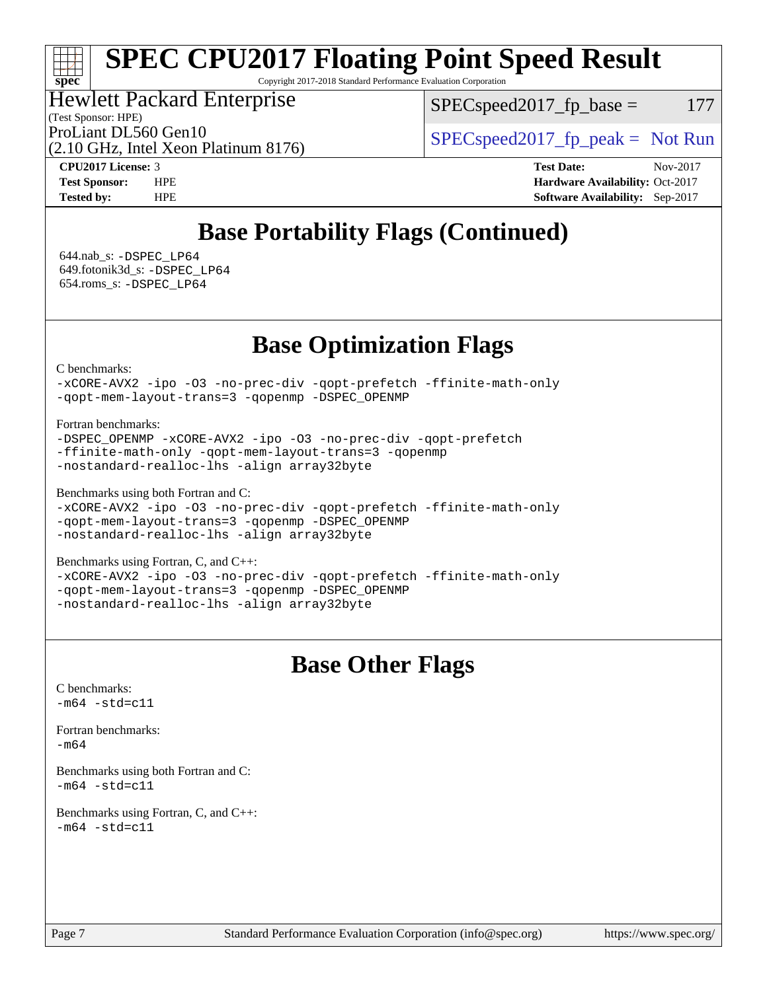# **[SPEC CPU2017 Floating Point Speed Result](http://www.spec.org/auto/cpu2017/Docs/result-fields.html#SPECCPU2017FloatingPointSpeedResult)**

Copyright 2017-2018 Standard Performance Evaluation Corporation

### Hewlett Packard Enterprise

(Test Sponsor: HPE)

 $SPEC speed2017_fp\_base = 177$ 

ProLiant DL560 Gen10  $SPEC speed2017$  [p\_peak = Not Run

(2.10 GHz, Intel Xeon Platinum 8176)

**[spec](http://www.spec.org/)**

**[CPU2017 License:](http://www.spec.org/auto/cpu2017/Docs/result-fields.html#CPU2017License)** 3 **[Test Date:](http://www.spec.org/auto/cpu2017/Docs/result-fields.html#TestDate)** Nov-2017 **[Test Sponsor:](http://www.spec.org/auto/cpu2017/Docs/result-fields.html#TestSponsor)** HPE **[Hardware Availability:](http://www.spec.org/auto/cpu2017/Docs/result-fields.html#HardwareAvailability)** Oct-2017 **[Tested by:](http://www.spec.org/auto/cpu2017/Docs/result-fields.html#Testedby)** HPE **[Software Availability:](http://www.spec.org/auto/cpu2017/Docs/result-fields.html#SoftwareAvailability)** Sep-2017

## **[Base Portability Flags \(Continued\)](http://www.spec.org/auto/cpu2017/Docs/result-fields.html#BasePortabilityFlags)**

 644.nab\_s: [-DSPEC\\_LP64](http://www.spec.org/cpu2017/results/res2017q4/cpu2017-20171128-01313.flags.html#suite_basePORTABILITY644_nab_s_DSPEC_LP64) 649.fotonik3d\_s: [-DSPEC\\_LP64](http://www.spec.org/cpu2017/results/res2017q4/cpu2017-20171128-01313.flags.html#suite_basePORTABILITY649_fotonik3d_s_DSPEC_LP64) 654.roms\_s: [-DSPEC\\_LP64](http://www.spec.org/cpu2017/results/res2017q4/cpu2017-20171128-01313.flags.html#suite_basePORTABILITY654_roms_s_DSPEC_LP64)

## **[Base Optimization Flags](http://www.spec.org/auto/cpu2017/Docs/result-fields.html#BaseOptimizationFlags)**

[C benchmarks](http://www.spec.org/auto/cpu2017/Docs/result-fields.html#Cbenchmarks):

[-xCORE-AVX2](http://www.spec.org/cpu2017/results/res2017q4/cpu2017-20171128-01313.flags.html#user_CCbase_f-xCORE-AVX2) [-ipo](http://www.spec.org/cpu2017/results/res2017q4/cpu2017-20171128-01313.flags.html#user_CCbase_f-ipo) [-O3](http://www.spec.org/cpu2017/results/res2017q4/cpu2017-20171128-01313.flags.html#user_CCbase_f-O3) [-no-prec-div](http://www.spec.org/cpu2017/results/res2017q4/cpu2017-20171128-01313.flags.html#user_CCbase_f-no-prec-div) [-qopt-prefetch](http://www.spec.org/cpu2017/results/res2017q4/cpu2017-20171128-01313.flags.html#user_CCbase_f-qopt-prefetch) [-ffinite-math-only](http://www.spec.org/cpu2017/results/res2017q4/cpu2017-20171128-01313.flags.html#user_CCbase_f_finite_math_only_cb91587bd2077682c4b38af759c288ed7c732db004271a9512da14a4f8007909a5f1427ecbf1a0fb78ff2a814402c6114ac565ca162485bbcae155b5e4258871) [-qopt-mem-layout-trans=3](http://www.spec.org/cpu2017/results/res2017q4/cpu2017-20171128-01313.flags.html#user_CCbase_f-qopt-mem-layout-trans_de80db37974c74b1f0e20d883f0b675c88c3b01e9d123adea9b28688d64333345fb62bc4a798493513fdb68f60282f9a726aa07f478b2f7113531aecce732043) [-qopenmp](http://www.spec.org/cpu2017/results/res2017q4/cpu2017-20171128-01313.flags.html#user_CCbase_qopenmp_16be0c44f24f464004c6784a7acb94aca937f053568ce72f94b139a11c7c168634a55f6653758ddd83bcf7b8463e8028bb0b48b77bcddc6b78d5d95bb1df2967) [-DSPEC\\_OPENMP](http://www.spec.org/cpu2017/results/res2017q4/cpu2017-20171128-01313.flags.html#suite_CCbase_DSPEC_OPENMP)

[Fortran benchmarks](http://www.spec.org/auto/cpu2017/Docs/result-fields.html#Fortranbenchmarks):

```
-DSPEC_OPENMP -xCORE-AVX2 -ipo -O3 -no-prec-div -qopt-prefetch
-ffinite-math-only -qopt-mem-layout-trans=3 -qopenmp
-nostandard-realloc-lhs -align array32byte
```
[Benchmarks using both Fortran and C](http://www.spec.org/auto/cpu2017/Docs/result-fields.html#BenchmarksusingbothFortranandC):

```
-xCORE-AVX2 -ipo -O3 -no-prec-div -qopt-prefetch -ffinite-math-only
-qopt-mem-layout-trans=3 -qopenmp -DSPEC_OPENMP
-nostandard-realloc-lhs -align array32byte
```
[Benchmarks using Fortran, C, and C++:](http://www.spec.org/auto/cpu2017/Docs/result-fields.html#BenchmarksusingFortranCandCXX) [-xCORE-AVX2](http://www.spec.org/cpu2017/results/res2017q4/cpu2017-20171128-01313.flags.html#user_CC_CXX_FCbase_f-xCORE-AVX2) [-ipo](http://www.spec.org/cpu2017/results/res2017q4/cpu2017-20171128-01313.flags.html#user_CC_CXX_FCbase_f-ipo) [-O3](http://www.spec.org/cpu2017/results/res2017q4/cpu2017-20171128-01313.flags.html#user_CC_CXX_FCbase_f-O3) [-no-prec-div](http://www.spec.org/cpu2017/results/res2017q4/cpu2017-20171128-01313.flags.html#user_CC_CXX_FCbase_f-no-prec-div) [-qopt-prefetch](http://www.spec.org/cpu2017/results/res2017q4/cpu2017-20171128-01313.flags.html#user_CC_CXX_FCbase_f-qopt-prefetch) [-ffinite-math-only](http://www.spec.org/cpu2017/results/res2017q4/cpu2017-20171128-01313.flags.html#user_CC_CXX_FCbase_f_finite_math_only_cb91587bd2077682c4b38af759c288ed7c732db004271a9512da14a4f8007909a5f1427ecbf1a0fb78ff2a814402c6114ac565ca162485bbcae155b5e4258871) [-qopt-mem-layout-trans=3](http://www.spec.org/cpu2017/results/res2017q4/cpu2017-20171128-01313.flags.html#user_CC_CXX_FCbase_f-qopt-mem-layout-trans_de80db37974c74b1f0e20d883f0b675c88c3b01e9d123adea9b28688d64333345fb62bc4a798493513fdb68f60282f9a726aa07f478b2f7113531aecce732043) [-qopenmp](http://www.spec.org/cpu2017/results/res2017q4/cpu2017-20171128-01313.flags.html#user_CC_CXX_FCbase_qopenmp_16be0c44f24f464004c6784a7acb94aca937f053568ce72f94b139a11c7c168634a55f6653758ddd83bcf7b8463e8028bb0b48b77bcddc6b78d5d95bb1df2967) [-DSPEC\\_OPENMP](http://www.spec.org/cpu2017/results/res2017q4/cpu2017-20171128-01313.flags.html#suite_CC_CXX_FCbase_DSPEC_OPENMP)

[-nostandard-realloc-lhs](http://www.spec.org/cpu2017/results/res2017q4/cpu2017-20171128-01313.flags.html#user_CC_CXX_FCbase_f_2003_std_realloc_82b4557e90729c0f113870c07e44d33d6f5a304b4f63d4c15d2d0f1fab99f5daaed73bdb9275d9ae411527f28b936061aa8b9c8f2d63842963b95c9dd6426b8a) [-align array32byte](http://www.spec.org/cpu2017/results/res2017q4/cpu2017-20171128-01313.flags.html#user_CC_CXX_FCbase_align_array32byte_b982fe038af199962ba9a80c053b8342c548c85b40b8e86eb3cc33dee0d7986a4af373ac2d51c3f7cf710a18d62fdce2948f201cd044323541f22fc0fffc51b6)

### **[Base Other Flags](http://www.spec.org/auto/cpu2017/Docs/result-fields.html#BaseOtherFlags)**

[C benchmarks](http://www.spec.org/auto/cpu2017/Docs/result-fields.html#Cbenchmarks):  $-m64 - std= c11$  $-m64 - std= c11$ 

[Fortran benchmarks](http://www.spec.org/auto/cpu2017/Docs/result-fields.html#Fortranbenchmarks):

[-m64](http://www.spec.org/cpu2017/results/res2017q4/cpu2017-20171128-01313.flags.html#user_FCbase_intel_intel64_18.0_af43caccfc8ded86e7699f2159af6efc7655f51387b94da716254467f3c01020a5059329e2569e4053f409e7c9202a7efc638f7a6d1ffb3f52dea4a3e31d82ab)

[Benchmarks using both Fortran and C](http://www.spec.org/auto/cpu2017/Docs/result-fields.html#BenchmarksusingbothFortranandC):  $-m64 - std= c11$  $-m64 - std= c11$ 

[Benchmarks using Fortran, C, and C++:](http://www.spec.org/auto/cpu2017/Docs/result-fields.html#BenchmarksusingFortranCandCXX)  $-m64 - std= c11$  $-m64 - std= c11$